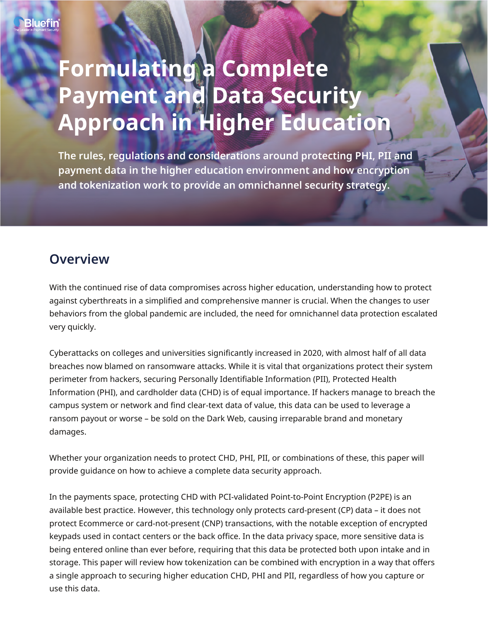# **Formulating a Complete Payment and Data Security Approach in Higher Education**

**The rules, regulations and considerations around protecting PHI, PII and payment data in the higher education environment and how encryption and tokenization work to provide an omnichannel security strategy.**

# **Overview**

With the continued rise of data compromises across higher education, understanding how to protect against cyberthreats in a simplified and comprehensive manner is crucial. When the changes to user behaviors from the global pandemic are included, the need for omnichannel data protection escalated very quickly.

Cyberattacks on colleges and universities significantly increased in 2020, with almost half of all data breaches now blamed on ransomware attacks. While it is vital that organizations protect their system perimeter from hackers, securing Personally Identifiable Information (PII), Protected Health Information (PHI), and cardholder data (CHD) is of equal importance. If hackers manage to breach the campus system or network and find clear-text data of value, this data can be used to leverage a ransom payout or worse – be sold on the Dark Web, causing irreparable brand and monetary damages.

Whether your organization needs to protect CHD, PHI, PII, or combinations of these, this paper will provide guidance on how to achieve a complete data security approach.

In the payments space, protecting CHD with PCI-validated Point-to-Point Encryption (P2PE) is an available best practice. However, this technology only protects card-present (CP) data – it does not protect Ecommerce or card-not-present (CNP) transactions, with the notable exception of encrypted keypads used in contact centers or the back office. In the data privacy space, more sensitive data is being entered online than ever before, requiring that this data be protected both upon intake and in storage. This paper will review how tokenization can be combined with encryption in a way that offers a single approach to securing higher education CHD, PHI and PII, regardless of how you capture or use this data.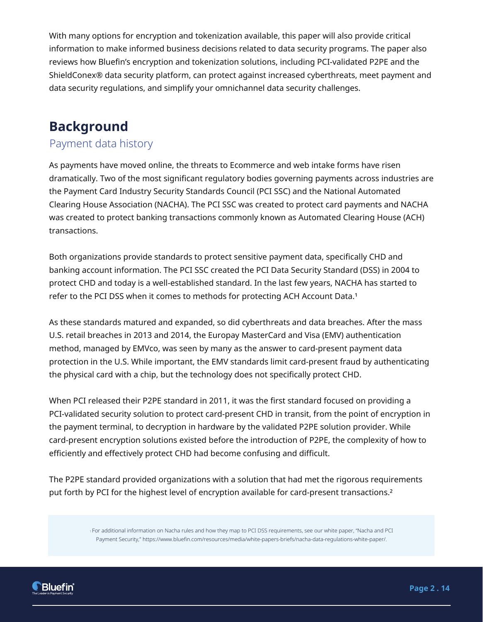With many options for encryption and tokenization available, this paper will also provide critical information to make informed business decisions related to data security programs. The paper also reviews how Bluefin's encryption and tokenization solutions, including PCI-validated P2PE and the ShieldConex® data security platform, can protect against increased cyberthreats, meet payment and data security regulations, and simplify your omnichannel data security challenges.

# **Background**

#### Payment data history

As payments have moved online, the threats to Ecommerce and web intake forms have risen dramatically. Two of the most significant regulatory bodies governing payments across industries are the Payment Card Industry Security Standards Council (PCI SSC) and the National Automated Clearing House Association (NACHA). The PCI SSC was created to protect card payments and NACHA was created to protect banking transactions commonly known as Automated Clearing House (ACH) transactions.

Both organizations provide standards to protect sensitive payment data, specifically CHD and banking account information. The PCI SSC created the PCI Data Security Standard (DSS) in 2004 to protect CHD and today is a well-established standard. In the last few years, NACHA has started to refer to the PCI DSS when it comes to methods for protecting ACH Account Data.1

As these standards matured and expanded, so did cyberthreats and data breaches. After the mass U.S. retail breaches in 2013 and 2014, the Europay MasterCard and Visa (EMV) authentication method, managed by EMVco, was seen by many as the answer to card-present payment data protection in the U.S. While important, the EMV standards limit card-present fraud by authenticating the physical card with a chip, but the technology does not specifically protect CHD.

When PCI released their P2PE standard in 2011, it was the first standard focused on providing a PCI-validated security solution to protect card-present CHD in transit, from the point of encryption in the payment terminal, to decryption in hardware by the validated P2PE solution provider. While card-present encryption solutions existed before the introduction of P2PE, the complexity of how to efficiently and effectively protect CHD had become confusing and difficult.

The P2PE standard provided organizations with a solution that had met the rigorous requirements put forth by PCI for the highest level of encryption available for card-present transactions.<sup>2</sup>

> <sup>1</sup>For additional information on Nacha rules and how they map to PCI DSS requirements, see our white paper, "Nacha and PCI Payment Security," https://www.bluefin.com/resources/media/white-papers-briefs/nacha-data-regulations-white-paper/.

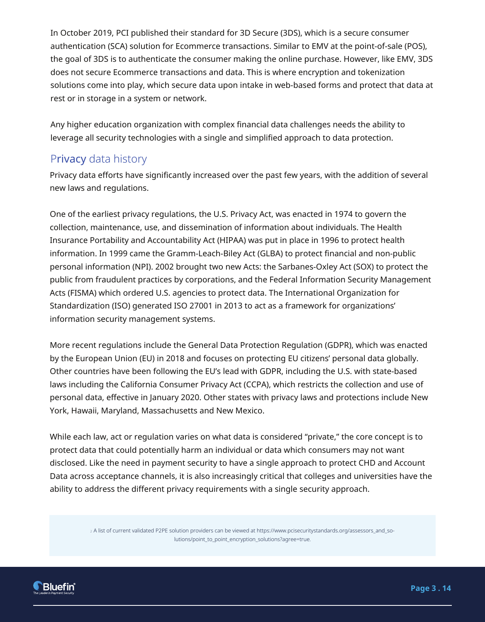In October 2019, PCI published their standard for 3D Secure (3DS), which is a secure consumer authentication (SCA) solution for Ecommerce transactions. Similar to EMV at the point-of-sale (POS), the goal of 3DS is to authenticate the consumer making the online purchase. However, like EMV, 3DS does not secure Ecommerce transactions and data. This is where encryption and tokenization solutions come into play, which secure data upon intake in web-based forms and protect that data at rest or in storage in a system or network.

Any higher education organization with complex financial data challenges needs the ability to leverage all security technologies with a single and simplified approach to data protection.

#### Privacy data history

Privacy data efforts have significantly increased over the past few years, with the addition of several new laws and regulations.

One of the earliest privacy regulations, the U.S. Privacy Act, was enacted in 1974 to govern the collection, maintenance, use, and dissemination of information about individuals. The Health Insurance Portability and Accountability Act (HIPAA) was put in place in 1996 to protect health information. In 1999 came the Gramm-Leach-Biley Act (GLBA) to protect financial and non-public personal information (NPI). 2002 brought two new Acts: the Sarbanes-Oxley Act (SOX) to protect the public from fraudulent practices by corporations, and the Federal Information Security Management Acts (FISMA) which ordered U.S. agencies to protect data. The International Organization for Standardization (ISO) generated ISO 27001 in 2013 to act as a framework for organizations' information security management systems.

More recent regulations include the General Data Protection Regulation (GDPR), which was enacted by the European Union (EU) in 2018 and focuses on protecting EU citizens' personal data globally. Other countries have been following the EU's lead with GDPR, including the U.S. with state-based laws including the California Consumer Privacy Act (CCPA), which restricts the collection and use of personal data, effective in January 2020. Other states with privacy laws and protections include New York, Hawaii, Maryland, Massachusetts and New Mexico.

While each law, act or regulation varies on what data is considered "private," the core concept is to protect data that could potentially harm an individual or data which consumers may not want disclosed. Like the need in payment security to have a single approach to protect CHD and Account Data across acceptance channels, it is also increasingly critical that colleges and universities have the ability to address the different privacy requirements with a single security approach.

> 2 A list of current validated P2PE solution providers can be viewed at https://www.pcisecuritystandards.org/assessors\_and\_solutions/point to point encryption solutions?agree=true.

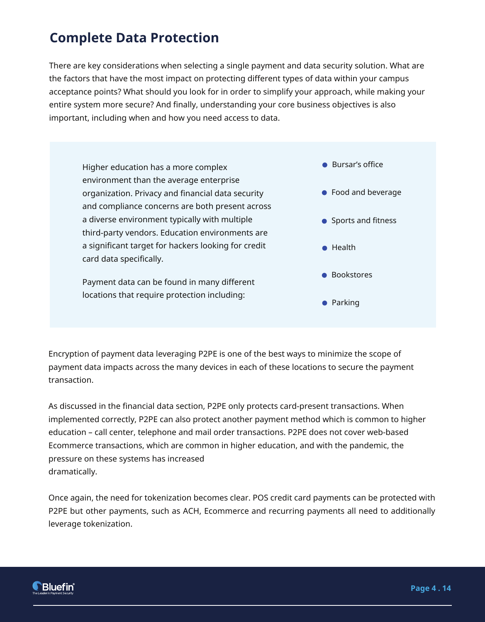# **Complete Data Protection**

There are key considerations when selecting a single payment and data security solution. What are the factors that have the most impact on protecting different types of data within your campus acceptance points? What should you look for in order to simplify your approach, while making your entire system more secure? And finally, understanding your core business objectives is also important, including when and how you need access to data.

Higher education has a more complex **Bursar's office** environment than the average enterprise organization. Privacy and financial data security and compliance concerns are both present across a diverse environment typically with multiple third-party vendors. Education environments are a significant target for hackers looking for credit card data specifically.

Payment data can be found in many different locations that require protection including:

- 
- Food and beverage
- Sports and fitness
- **•** Health
- **Bookstores**
- Parking

Encryption of payment data leveraging P2PE is one of the best ways to minimize the scope of payment data impacts across the many devices in each of these locations to secure the payment transaction.

As discussed in the financial data section, P2PE only protects card-present transactions. When implemented correctly, P2PE can also protect another payment method which is common to higher education – call center, telephone and mail order transactions. P2PE does not cover web-based Ecommerce transactions, which are common in higher education, and with the pandemic, the pressure on these systems has increased dramatically.

Once again, the need for tokenization becomes clear. POS credit card payments can be protected with P2PE but other payments, such as ACH, Ecommerce and recurring payments all need to additionally leverage tokenization.

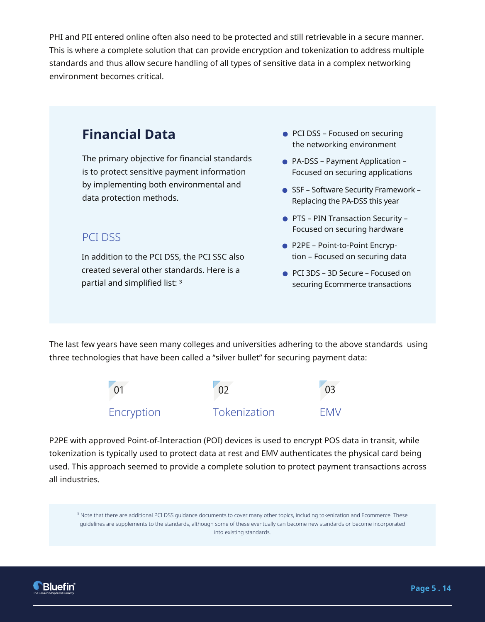PHI and PII entered online often also need to be protected and still retrievable in a secure manner. This is where a complete solution that can provide encryption and tokenization to address multiple standards and thus allow secure handling of all types of sensitive data in a complex networking environment becomes critical.

The primary objective for financial standards is to protect sensitive payment information by implementing both environmental and data protection methods.

#### PCI DSS

In addition to the PCI DSS, the PCI SSC also created several other standards. Here is a partial and simplified list: 3

- **Financial Data PCI DSS** Focused on securing the networking environment
	- PA-DSS Payment Application Focused on securing applications
	- SSF Software Security Framework Replacing the PA-DSS this year
	- PTS PIN Transaction Security Focused on securing hardware
	- P2PE Point-to-Point Encryption – Focused on securing data
	- PCI 3DS 3D Secure Focused on securing Ecommerce transactions

The last few years have seen many colleges and universities adhering to the above standards using three technologies that have been called a "silver bullet" for securing payment data:



P2PE with approved Point-of-Interaction (POI) devices is used to encrypt POS data in transit, while tokenization is typically used to protect data at rest and EMV authenticates the physical card being used. This approach seemed to provide a complete solution to protect payment transactions across all industries.

<sup>3</sup> Note that there are additional PCI DSS guidance documents to cover many other topics, including tokenization and Ecommerce. These guidelines are supplements to the standards, although some of these eventually can become new standards or become incorporated into existing standards.

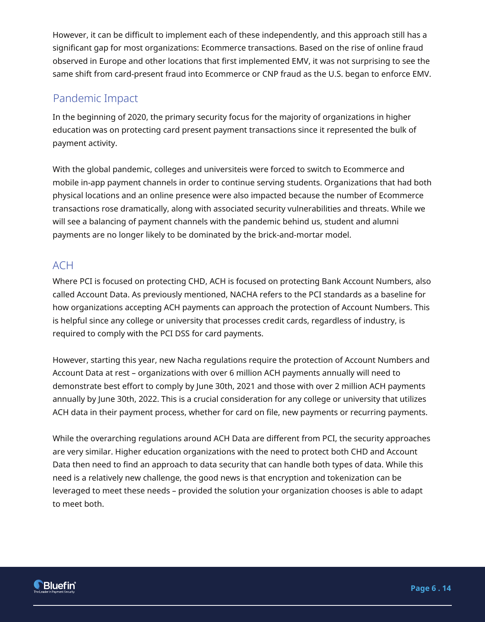However, it can be difficult to implement each of these independently, and this approach still has a significant gap for most organizations: Ecommerce transactions. Based on the rise of online fraud observed in Europe and other locations that first implemented EMV, it was not surprising to see the same shift from card-present fraud into Ecommerce or CNP fraud as the U.S. began to enforce EMV.

#### Pandemic Impact

In the beginning of 2020, the primary security focus for the majority of organizations in higher education was on protecting card present payment transactions since it represented the bulk of payment activity.

With the global pandemic, colleges and universiteis were forced to switch to Ecommerce and mobile in-app payment channels in order to continue serving students. Organizations that had both physical locations and an online presence were also impacted because the number of Ecommerce transactions rose dramatically, along with associated security vulnerabilities and threats. While we will see a balancing of payment channels with the pandemic behind us, student and alumni payments are no longer likely to be dominated by the brick-and-mortar model.

### ACH

Where PCI is focused on protecting CHD, ACH is focused on protecting Bank Account Numbers, also called Account Data. As previously mentioned, NACHA refers to the PCI standards as a baseline for how organizations accepting ACH payments can approach the protection of Account Numbers. This is helpful since any college or university that processes credit cards, regardless of industry, is required to comply with the PCI DSS for card payments.

However, starting this year, new Nacha regulations require the protection of Account Numbers and Account Data at rest – organizations with over 6 million ACH payments annually will need to demonstrate best effort to comply by June 30th, 2021 and those with over 2 million ACH payments annually by June 30th, 2022. This is a crucial consideration for any college or university that utilizes ACH data in their payment process, whether for card on file, new payments or recurring payments.

While the overarching regulations around ACH Data are different from PCI, the security approaches are very similar. Higher education organizations with the need to protect both CHD and Account Data then need to find an approach to data security that can handle both types of data. While this need is a relatively new challenge, the good news is that encryption and tokenization can be leveraged to meet these needs – provided the solution your organization chooses is able to adapt to meet both.

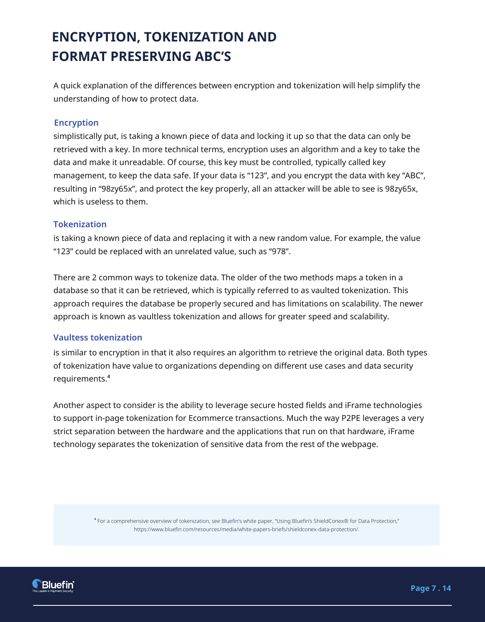# **ENCRYPTION, TOKENIZATION AND FORMAT PRESERVING ABC'S**

A quick explanation of the differences between encryption and tokenization will help simplify the understanding of how to protect data.

#### **Encryption**

simplistically put, is taking a known piece of data and locking it up so that the data can only be retrieved with a key. In more technical terms, encryption uses an algorithm and a key to take the data and make it unreadable. Of course, this key must be controlled, typically called key management, to keep the data safe. If your data is "123", and you encrypt the data with key "ABC", resulting in "98zy65x", and protect the key properly, all an attacker will be able to see is 98zy65x, which is useless to them.

#### **Tokenization**

is taking a known piece of data and replacing it with a new random value. For example, the value "123" could be replaced with an unrelated value, such as "978".

There are 2 common ways to tokenize data. The older of the two methods maps a token in a database so that it can be retrieved, which is typically referred to as vaulted tokenization. This approach requires the database be properly secured and has limitations on scalability. The newer approach is known as vaultless tokenization and allows for greater speed and scalability.

#### **Vaultess tokenization**

is similar to encryption in that it also requires an algorithm to retrieve the original data. Both types of tokenization have value to organizations depending on different use cases and data security requirements.⁴

Another aspect to consider is the ability to leverage secure hosted fields and iFrame technologies to support in-page tokenization for Ecommerce transactions. Much the way P2PE leverages a very strict separation between the hardware and the applications that run on that hardware, iFrame technology separates the tokenization of sensitive data from the rest of the webpage.

> ⁴ For a comprehensive overview of tokenization, see Bluefin's white paper, "Using Bluefin's ShieldConex® for Data Protection," https://www.bluefin.com/resources/media/white-papers-briefs/shieldconex-data-protection/.

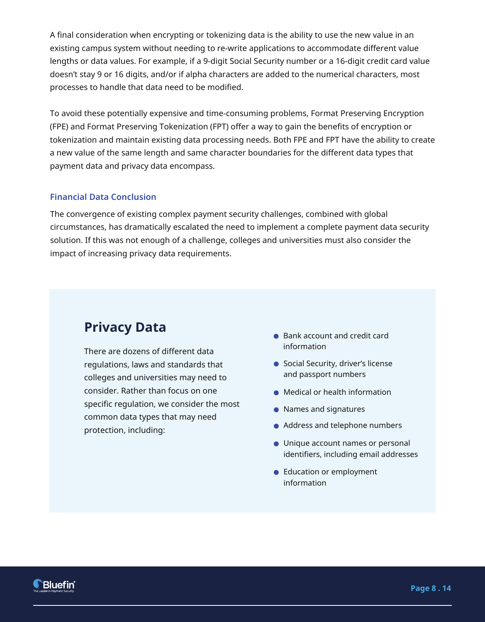A final consideration when encrypting or tokenizing data is the ability to use the new value in an existing campus system without needing to re-write applications to accommodate different value lengths or data values. For example, if a 9-digit Social Security number or a 16-digit credit card value doesn't stay 9 or 16 digits, and/or if alpha characters are added to the numerical characters, most processes to handle that data need to be modified.

To avoid these potentially expensive and time-consuming problems, Format Preserving Encryption (FPE) and Format Preserving Tokenization (FPT) offer a way to gain the benefits of encryption or tokenization and maintain existing data processing needs. Both FPE and FPT have the ability to create a new value of the same length and same character boundaries for the different data types that payment data and privacy data encompass.

#### **Financial Data Conclusion**

The convergence of existing complex payment security challenges, combined with global circumstances, has dramatically escalated the need to implement a complete payment data security solution. If this was not enough of a challenge, colleges and universities must also consider the impact of increasing privacy data requirements.

# **Privacy Data Bank account and credit card**

information There are dozens of different data regulations, laws and standards that colleges and universities may need to consider. Rather than focus on one specific regulation, we consider the most common data types that may need protection, including:

- 
- **Social Security, driver's license** and passport numbers
- Medical or health information
- Names and signatures
- Address and telephone numbers
- Unique account names or personal identifiers, including email addresses
- Education or employment information

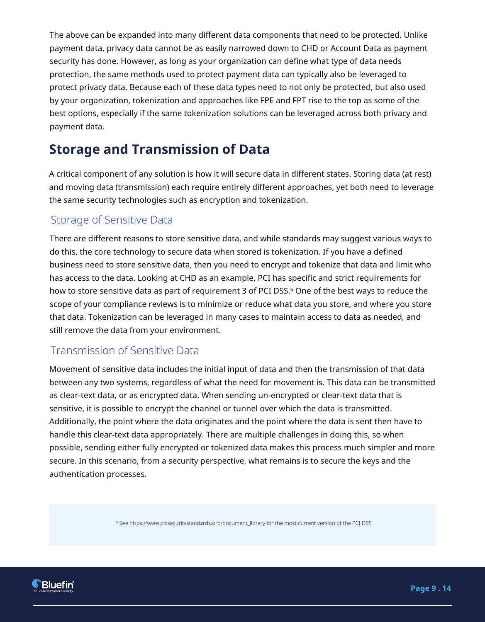The above can be expanded into many different data components that need to be protected. Unlike payment data, privacy data cannot be as easily narrowed down to CHD or Account Data as payment security has done. However, as long as your organization can define what type of data needs protection, the same methods used to protect payment data can typically also be leveraged to protect privacy data. Because each of these data types need to not only be protected, but also used by your organization, tokenization and approaches like FPE and FPT rise to the top as some of the best options, especially if the same tokenization solutions can be leveraged across both privacy and payment data.

# **Storage and Transmission of Data**

A critical component of any solution is how it will secure data in different states. Storing data (at rest) and moving data (transmission) each require entirely different approaches, yet both need to leverage the same security technologies such as encryption and tokenization.

#### Storage of Sensitive Data

There are different reasons to store sensitive data, and while standards may suggest various ways to do this, the core technology to secure data when stored is tokenization. If you have a defined business need to store sensitive data, then you need to encrypt and tokenize that data and limit who has access to the data. Looking at CHD as an example, PCI has specific and strict requirements for how to store sensitive data as part of requirement 3 of PCI DSS.5 One of the best ways to reduce the scope of your compliance reviews is to minimize or reduce what data you store, and where you store that data. Tokenization can be leveraged in many cases to maintain access to data as needed, and still remove the data from your environment.

#### Transmission of Sensitive Data

Movement of sensitive data includes the initial input of data and then the transmission of that data between any two systems, regardless of what the need for movement is. This data can be transmitted as clear-text data, or as encrypted data. When sending un-encrypted or clear-text data that is sensitive, it is possible to encrypt the channel or tunnel over which the data is transmitted. Additionally, the point where the data originates and the point where the data is sent then have to handle this clear-text data appropriately. There are multiple challenges in doing this, so when possible, sending either fully encrypted or tokenized data makes this process much simpler and more secure. In this scenario, from a security perspective, what remains is to secure the keys and the authentication processes.

5 See https://www.pcisecuritystandards.org/document\_library for the most current version of the PCI DSS

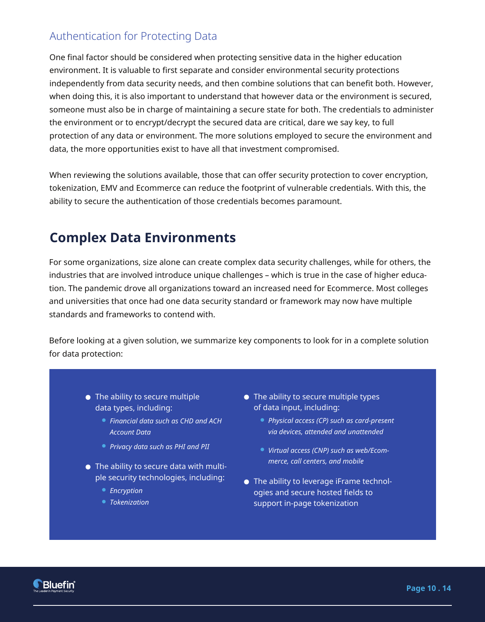#### Authentication for Protecting Data

One final factor should be considered when protecting sensitive data in the higher education environment. It is valuable to first separate and consider environmental security protections independently from data security needs, and then combine solutions that can benefit both. However, when doing this, it is also important to understand that however data or the environment is secured, someone must also be in charge of maintaining a secure state for both. The credentials to administer the environment or to encrypt/decrypt the secured data are critical, dare we say key, to full protection of any data or environment. The more solutions employed to secure the environment and data, the more opportunities exist to have all that investment compromised.

When reviewing the solutions available, those that can offer security protection to cover encryption, tokenization, EMV and Ecommerce can reduce the footprint of vulnerable credentials. With this, the ability to secure the authentication of those credentials becomes paramount.

## **Complex Data Environments**

For some organizations, size alone can create complex data security challenges, while for others, the industries that are involved introduce unique challenges – which is true in the case of higher education. The pandemic drove all organizations toward an increased need for Ecommerce. Most colleges and universities that once had one data security standard or framework may now have multiple standards and frameworks to contend with.

Before looking at a given solution, we summarize key components to look for in a complete solution for data protection:

- The ability to secure multiple data types, including:
	- *Financial data such as CHD and ACH Account Data*
	- *Privacy data such as PHI and PII*
- The ability to secure data with multiple security technologies, including:
	- *Encryption*
	- *Tokenization*
- The ability to secure multiple types of data input, including:
	- *Physical access (CP) such as card-present via devices, attended and unattended*
	- *Virtual access (CNP) such as web/Ecommerce, call centers, and mobile*
- The ability to leverage iFrame technologies and secure hosted fields to support in-page tokenization

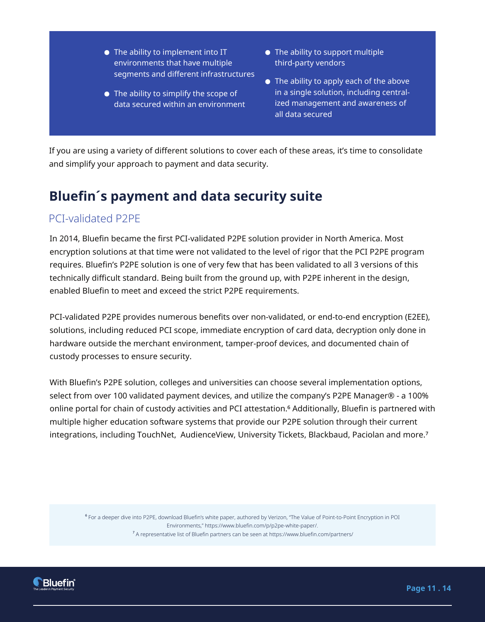- The ability to implement into IT environments that have multiple segments and different infrastructures
- The ability to simplify the scope of data secured within an environment
- The ability to support multiple third-party vendors
- The ability to apply each of the above in a single solution, including centralized management and awareness of all data secured

If you are using a variety of different solutions to cover each of these areas, it's time to consolidate and simplify your approach to payment and data security.

# **Bluefin´s payment and data security suite**

#### PCI-validated P2PE

In 2014, Bluefin became the first PCI-validated P2PE solution provider in North America. Most encryption solutions at that time were not validated to the level of rigor that the PCI P2PE program requires. Bluefin's P2PE solution is one of very few that has been validated to all 3 versions of this technically difficult standard. Being built from the ground up, with P2PE inherent in the design, enabled Bluefin to meet and exceed the strict P2PE requirements.

PCI-validated P2PE provides numerous benefits over non-validated, or end-to-end encryption (E2EE), solutions, including reduced PCI scope, immediate encryption of card data, decryption only done in hardware outside the merchant environment, tamper-proof devices, and documented chain of custody processes to ensure security.

With Bluefin's P2PE solution, colleges and universities can choose several implementation options, select from over 100 validated payment devices, and utilize the company's P2PE Manager® - a 100% online portal for chain of custody activities and PCI attestation.6 Additionally, Bluefin is partnered with multiple higher education software systems that provide our P2PE solution through their current integrations, including TouchNet, AudienceView, University Tickets, Blackbaud, Paciolan and more.7

⁶ For a deeper dive into P2PE, download Bluefin's white paper, authored by Verizon, "The Value of Point-to-Point Encryption in POI Environments," https://www.bluefin.com/p/p2pe-white-paper/. <sup>7</sup> A representative list of Bluefin partners can be seen at https://www.bluefin.com/partners/

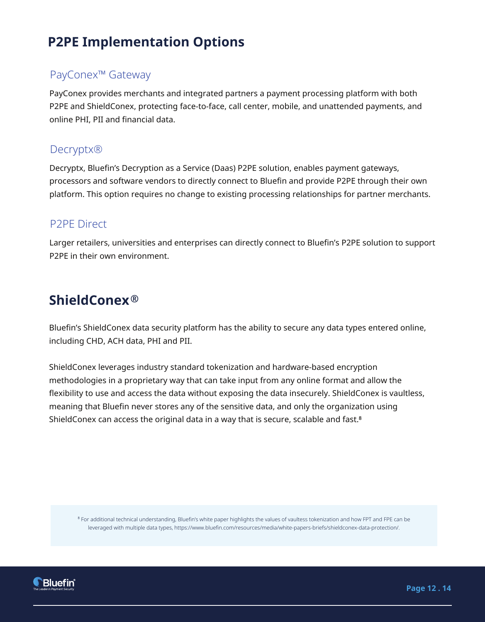# **P2PE Implementation Options**

### PayConex™ Gateway

PayConex provides merchants and integrated partners a payment processing platform with both P2PE and ShieldConex, protecting face-to-face, call center, mobile, and unattended payments, and online PHI, PII and financial data.

#### Decryptx®

Decryptx, Bluefin's Decryption as a Service (Daas) P2PE solution, enables payment gateways, processors and software vendors to directly connect to Bluefin and provide P2PE through their own platform. This option requires no change to existing processing relationships for partner merchants.

#### P2PE Direct

Larger retailers, universities and enterprises can directly connect to Bluefin's P2PE solution to support P2PE in their own environment.

# **ShieldConex ®**

Bluefin's ShieldConex data security platform has the ability to secure any data types entered online, including CHD, ACH data, PHI and PII.

ShieldConex leverages industry standard tokenization and hardware-based encryption methodologies in a proprietary way that can take input from any online format and allow the flexibility to use and access the data without exposing the data insecurely. ShieldConex is vaultless, meaning that Bluefin never stores any of the sensitive data, and only the organization using ShieldConex can access the original data in a way that is secure, scalable and fast.8

<sup>8</sup> For additional technical understanding, Bluefin's white paper highlights the values of vaultess tokenization and how FPT and FPE can be leveraged with multiple data types, https://www.bluefin.com/resources/media/white-papers-briefs/shieldconex-data-protection/.

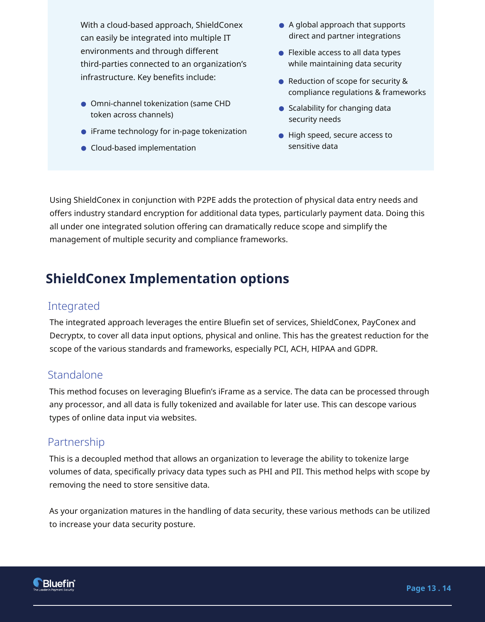With a cloud-based approach, ShieldConex can easily be integrated into multiple IT environments and through different third-parties connected to an organization's infrastructure. Key benefits include:

- Omni-channel tokenization (same CHD token across channels)
- iFrame technology for in-page tokenization
- Cloud-based implementation
- A global approach that supports direct and partner integrations
- Flexible access to all data types while maintaining data security
- Reduction of scope for security & compliance regulations & frameworks
- Scalability for changing data security needs
- $\bullet$  High speed, secure access to sensitive data

Using ShieldConex in conjunction with P2PE adds the protection of physical data entry needs and offers industry standard encryption for additional data types, particularly payment data. Doing this all under one integrated solution offering can dramatically reduce scope and simplify the management of multiple security and compliance frameworks.

# **ShieldConex Implementation options**

#### Integrated

The integrated approach leverages the entire Bluefin set of services, ShieldConex, PayConex and Decryptx, to cover all data input options, physical and online. This has the greatest reduction for the scope of the various standards and frameworks, especially PCI, ACH, HIPAA and GDPR.

#### **Standalone**

This method focuses on leveraging Bluefin's iFrame as a service. The data can be processed through any processor, and all data is fully tokenized and available for later use. This can descope various types of online data input via websites.

#### Partnership

This is a decoupled method that allows an organization to leverage the ability to tokenize large volumes of data, specifically privacy data types such as PHI and PII. This method helps with scope by removing the need to store sensitive data.

As your organization matures in the handling of data security, these various methods can be utilized to increase your data security posture.